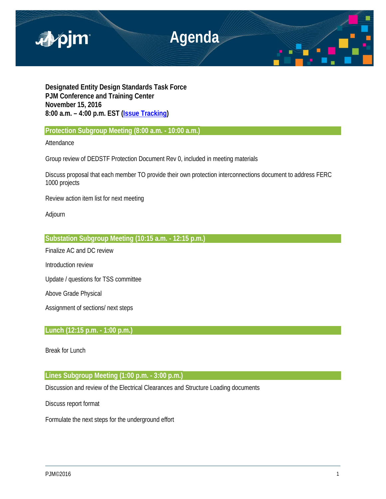

**Designated Entity Design Standards Task Force PJM Conference and Training Center November 15, 2016 8:00 a.m. – 4:00 p.m. EST [\(Issue Tracking\)](http://www.pjm.com/committees-and-groups/issue-tracking/issue-tracking-details.aspx?Issue=%7bE6133A76-DEC6-49DD-89E3-F5ECC642EA67%7d)**

**Protection Subgroup Meeting (8:00 a.m. - 10:00 a.m.)** 

Attendance

Group review of DEDSTF Protection Document Rev 0, included in meeting materials

Discuss proposal that each member TO provide their own protection interconnections document to address FERC 1000 projects

Review action item list for next meeting

Adjourn

**Substation Subgroup Meeting (10:15 a.m. - 12:15 p.m.)** 

Finalize AC and DC review

Introduction review

Update / questions for TSS committee

Above Grade Physical

Assignment of sections/ next steps

# **Lunch (12:15 p.m. - 1:00 p.m.)**

Break for Lunch

## **Lines Subgroup Meeting (1:00 p.m. - 3:00 p.m.)**

Discussion and review of the Electrical Clearances and Structure Loading documents

Discuss report format

Formulate the next steps for the underground effort